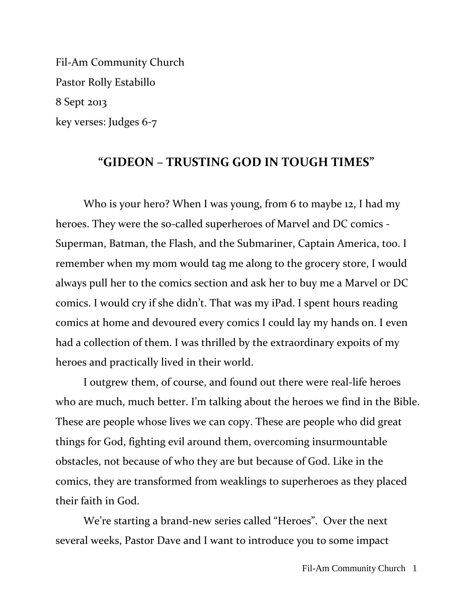Fil-Am Community Church Pastor Rolly Estabillo 8 Sept 2013 key verses: Judges 6-7

### **"GIDEON – TRUSTING GOD IN TOUGH TIMES"**

Who is your hero? When I was young, from 6 to maybe 12, I had my heroes. They were the so-called superheroes of Marvel and DC comics - Superman, Batman, the Flash, and the Submariner, Captain America, too. I remember when my mom would tag me along to the grocery store, I would always pull her to the comics section and ask her to buy me a Marvel or DC comics. I would cry if she didn't. That was my iPad. I spent hours reading comics at home and devoured every comics I could lay my hands on. I even had a collection of them. I was thrilled by the extraordinary expoits of my heroes and practically lived in their world.

I outgrew them, of course, and found out there were real-life heroes who are much, much better. I'm talking about the heroes we find in the Bible. These are people whose lives we can copy. These are people who did great things for God, fighting evil around them, overcoming insurmountable obstacles, not because of who they are but because of God. Like in the comics, they are transformed from weaklings to superheroes as they placed their faith in God.

We're starting a brand-new series called "Heroes". Over the next several weeks, Pastor Dave and I want to introduce you to some impact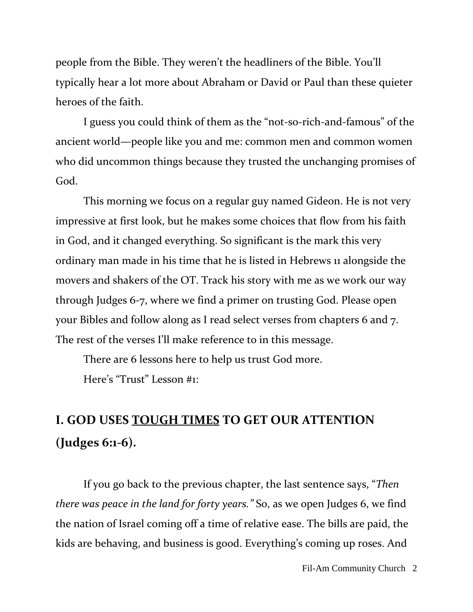people from the Bible. They weren't the headliners of the Bible. You'll typically hear a lot more about Abraham or David or Paul than these quieter heroes of the faith.

I guess you could think of them as the "not-so-rich-and-famous" of the ancient world—people like you and me: common men and common women who did uncommon things because they trusted the unchanging promises of God.

This morning we focus on a regular guy named Gideon. He is not very impressive at first look, but he makes some choices that flow from his faith in God, and it changed everything. So significant is the mark this very ordinary man made in his time that he is listed in Hebrews 11 alongside the movers and shakers of the OT. Track his story with me as we work our way through Judges 6-7, where we find a primer on trusting God. Please open your Bibles and follow along as I read select verses from chapters 6 and 7. The rest of the verses I'll make reference to in this message.

There are 6 lessons here to help us trust God more.

Here's "Trust" Lesson #1:

# **I. GOD USES TOUGH TIMES TO GET OUR ATTENTION (Judges 6:1-6).**

If you go back to the previous chapter, the last sentence says, "*Then there was peace in the land for forty years."* So, as we open Judges 6, we find the nation of Israel coming off a time of relative ease. The bills are paid, the kids are behaving, and business is good. Everything's coming up roses. And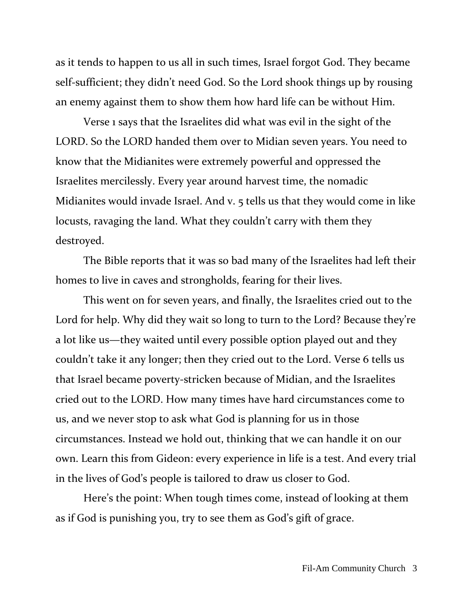as it tends to happen to us all in such times, Israel forgot God. They became self-sufficient; they didn't need God. So the Lord shook things up by rousing an enemy against them to show them how hard life can be without Him.

Verse 1 says that the Israelites did what was evil in the sight of the LORD. So the LORD handed them over to Midian seven years. You need to know that the Midianites were extremely powerful and oppressed the Israelites mercilessly. Every year around harvest time, the nomadic Midianites would invade Israel. And v. 5 tells us that they would come in like locusts, ravaging the land. What they couldn't carry with them they destroyed.

The Bible reports that it was so bad many of the Israelites had left their homes to live in caves and strongholds, fearing for their lives.

This went on for seven years, and finally, the Israelites cried out to the Lord for help. Why did they wait so long to turn to the Lord? Because they're a lot like us—they waited until every possible option played out and they couldn't take it any longer; then they cried out to the Lord. Verse 6 tells us that Israel became poverty-stricken because of Midian, and the Israelites cried out to the LORD. How many times have hard circumstances come to us, and we never stop to ask what God is planning for us in those circumstances. Instead we hold out, thinking that we can handle it on our own. Learn this from Gideon: every experience in life is a test. And every trial in the lives of God's people is tailored to draw us closer to God.

Here's the point: When tough times come, instead of looking at them as if God is punishing you, try to see them as God's gift of grace.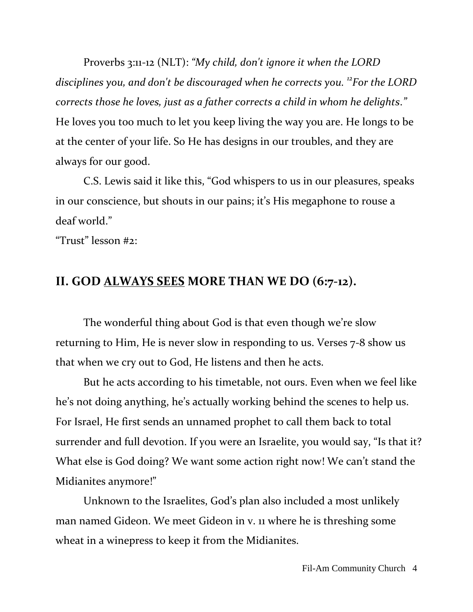Proverbs 3:11-12 (NLT): *"My child, don't ignore it when the LORD disciplines you, and don't be discouraged when he corrects you. <sup>12</sup>For the LORD corrects those he loves, just as a father corrects a child in whom he delights*.*"* He loves you too much to let you keep living the way you are. He longs to be at the center of your life. So He has designs in our troubles, and they are always for our good.

C.S. Lewis said it like this, "God whispers to us in our pleasures, speaks in our conscience, but shouts in our pains; it's His megaphone to rouse a deaf world."

"Trust" lesson #2:

### **II. GOD ALWAYS SEES MORE THAN WE DO (6:7-12).**

The wonderful thing about God is that even though we're slow returning to Him, He is never slow in responding to us. Verses 7-8 show us that when we cry out to God, He listens and then he acts.

But he acts according to his timetable, not ours. Even when we feel like he's not doing anything, he's actually working behind the scenes to help us. For Israel, He first sends an unnamed prophet to call them back to total surrender and full devotion. If you were an Israelite, you would say, "Is that it? What else is God doing? We want some action right now! We can't stand the Midianites anymore!"

Unknown to the Israelites, God's plan also included a most unlikely man named Gideon. We meet Gideon in v. 11 where he is threshing some wheat in a winepress to keep it from the Midianites.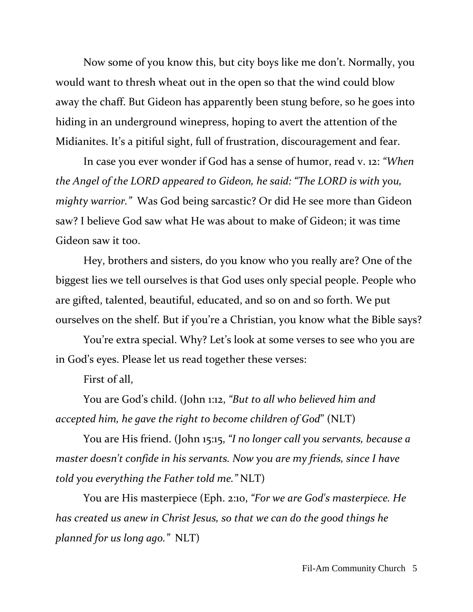Now some of you know this, but city boys like me don't. Normally, you would want to thresh wheat out in the open so that the wind could blow away the chaff. But Gideon has apparently been stung before, so he goes into hiding in an underground winepress, hoping to avert the attention of the Midianites. It's a pitiful sight, full of frustration, discouragement and fear.

In case you ever wonder if God has a sense of humor, read v. 12: *"When the Angel of the LORD appeared to Gideon, he said: "The LORD is with you, mighty warrior."* Was God being sarcastic? Or did He see more than Gideon saw? I believe God saw what He was about to make of Gideon; it was time Gideon saw it too.

Hey, brothers and sisters, do you know who you really are? One of the biggest lies we tell ourselves is that God uses only special people. People who are gifted, talented, beautiful, educated, and so on and so forth. We put ourselves on the shelf. But if you're a Christian, you know what the Bible says?

You're extra special. Why? Let's look at some verses to see who you are in God's eyes. Please let us read together these verses:

First of all,

You are God's child. (John 1:12, *"But to all who believed him and accepted him, he gave the right to become children of God*" (NLT)

You are His friend. (John 15:15, *"I no longer call you servants, because a master doesn't confide in his servants. Now you are my friends, since I have told you everything the Father told me."* NLT)

You are His masterpiece (Eph. 2:10, *"For we are God's masterpiece. He has created us anew in Christ Jesus, so that we can do the good things he planned for us long ago."* NLT)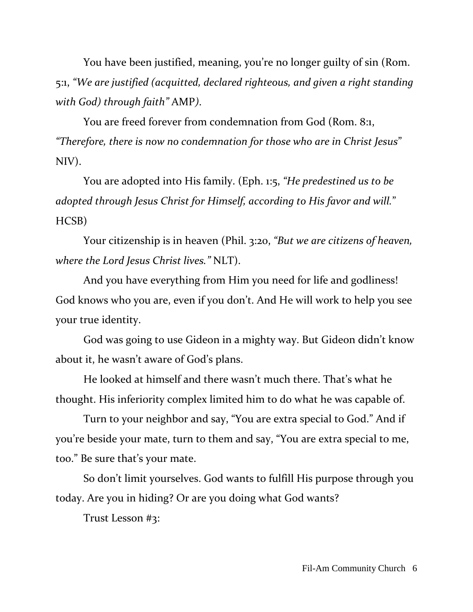You have been justified, meaning, you're no longer guilty of sin (Rom. 5:1, *"We are justified (acquitted, declared righteous, and given a right standing with God) through faith"* AMP*)*.

You are freed forever from condemnation from God (Rom. 8:1, *"Therefore, there is now no condemnation for those who are in Christ Jesus*" NIV).

You are adopted into His family. (Eph. 1:5, *"He predestined us to be adopted through Jesus Christ for Himself, according to His favor and will.*" HCSB)

Your citizenship is in heaven (Phil. 3:20, *"But we are citizens of heaven, where the Lord Jesus Christ lives."* NLT).

And you have everything from Him you need for life and godliness! God knows who you are, even if you don't. And He will work to help you see your true identity.

God was going to use Gideon in a mighty way. But Gideon didn't know about it, he wasn't aware of God's plans.

He looked at himself and there wasn't much there. That's what he thought. His inferiority complex limited him to do what he was capable of.

Turn to your neighbor and say, "You are extra special to God." And if you're beside your mate, turn to them and say, "You are extra special to me, too." Be sure that's your mate.

So don't limit yourselves. God wants to fulfill His purpose through you today. Are you in hiding? Or are you doing what God wants?

Trust Lesson #3: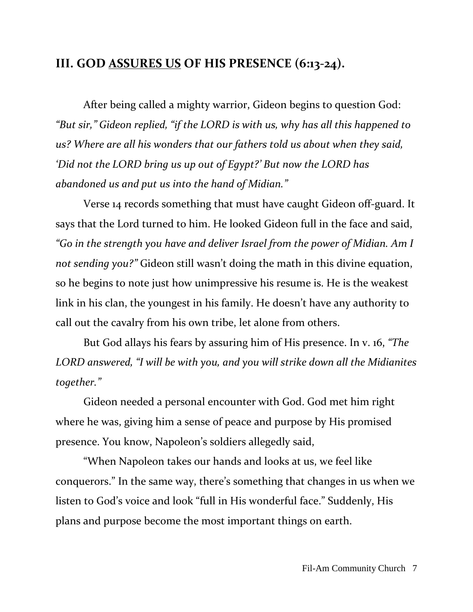## **III. GOD ASSURES US OF HIS PRESENCE (6:13-24).**

After being called a mighty warrior, Gideon begins to question God: *"But sir," Gideon replied, "if the LORD is with us, why has all this happened to us? Where are all his wonders that our fathers told us about when they said, 'Did not the LORD bring us up out of Egypt?' But now the LORD has abandoned us and put us into the hand of Midian."*

Verse 14 records something that must have caught Gideon off-guard. It says that the Lord turned to him. He looked Gideon full in the face and said, *"Go in the strength you have and deliver Israel from the power of Midian. Am I not sending you?"* Gideon still wasn't doing the math in this divine equation, so he begins to note just how unimpressive his resume is. He is the weakest link in his clan, the youngest in his family. He doesn't have any authority to call out the cavalry from his own tribe, let alone from others.

But God allays his fears by assuring him of His presence. In v. 16, *"The LORD answered, "I will be with you, and you will strike down all the Midianites together."*

Gideon needed a personal encounter with God. God met him right where he was, giving him a sense of peace and purpose by His promised presence. You know, Napoleon's soldiers allegedly said,

"When Napoleon takes our hands and looks at us, we feel like conquerors." In the same way, there's something that changes in us when we listen to God's voice and look "full in His wonderful face." Suddenly, His plans and purpose become the most important things on earth.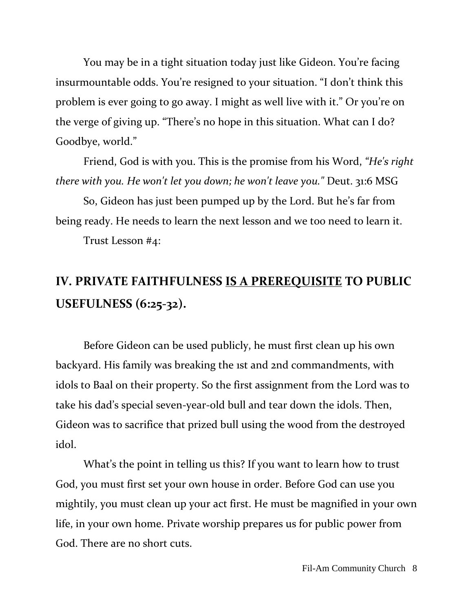You may be in a tight situation today just like Gideon. You're facing insurmountable odds. You're resigned to your situation. "I don't think this problem is ever going to go away. I might as well live with it." Or you're on the verge of giving up. "There's no hope in this situation. What can I do? Goodbye, world."

Friend, God is with you. This is the promise from his Word, *"He's right there with you. He won't let you down; he won't leave you."* Deut. 31:6 MSG

So, Gideon has just been pumped up by the Lord. But he's far from being ready. He needs to learn the next lesson and we too need to learn it.

Trust Lesson #4:

## **IV. PRIVATE FAITHFULNESS IS A PREREQUISITE TO PUBLIC USEFULNESS (6:25-32).**

Before Gideon can be used publicly, he must first clean up his own backyard. His family was breaking the 1st and 2nd commandments, with idols to Baal on their property. So the first assignment from the Lord was to take his dad's special seven-year-old bull and tear down the idols. Then, Gideon was to sacrifice that prized bull using the wood from the destroyed idol.

What's the point in telling us this? If you want to learn how to trust God, you must first set your own house in order. Before God can use you mightily, you must clean up your act first. He must be magnified in your own life, in your own home. Private worship prepares us for public power from God. There are no short cuts.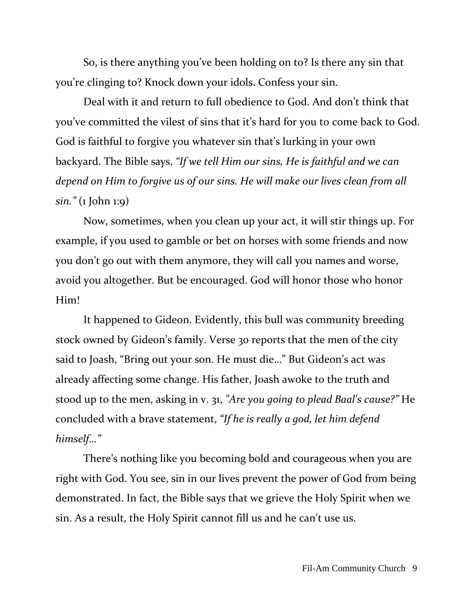So, is there anything you've been holding on to? Is there any sin that you're clinging to? Knock down your idols. Confess your sin.

Deal with it and return to full obedience to God. And don't think that you've committed the vilest of sins that it's hard for you to come back to God. God is faithful to forgive you whatever sin that's lurking in your own backyard. The Bible says, *"If we tell Him our sins, He is faithful and we can depend on Him to forgive us of our sins. He will make our lives clean from all sin."* (1 John 1:9)

Now, sometimes, when you clean up your act, it will stir things up. For example, if you used to gamble or bet on horses with some friends and now you don't go out with them anymore, they will call you names and worse, avoid you altogether. But be encouraged. God will honor those who honor Him!

It happened to Gideon. Evidently, this bull was community breeding stock owned by Gideon's family. Verse 30 reports that the men of the city said to Joash, "Bring out your son. He must die…" But Gideon's act was already affecting some change. His father, Joash awoke to the truth and stood up to the men, asking in v. 31, *"Are you going to plead Baal's cause?"* He concluded with a brave statement, *"If he is really a god, let him defend himself…"*

There's nothing like you becoming bold and courageous when you are right with God. You see, sin in our lives prevent the power of God from being demonstrated. In fact, the Bible says that we grieve the Holy Spirit when we sin. As a result, the Holy Spirit cannot fill us and he can't use us.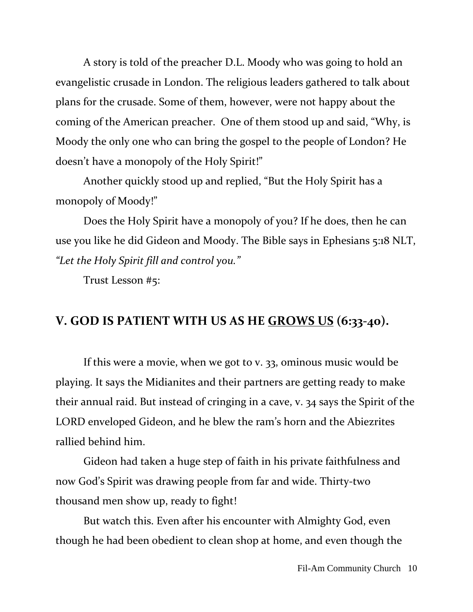A story is told of the preacher D.L. Moody who was going to hold an evangelistic crusade in London. The religious leaders gathered to talk about plans for the crusade. Some of them, however, were not happy about the coming of the American preacher. One of them stood up and said, "Why, is Moody the only one who can bring the gospel to the people of London? He doesn't have a monopoly of the Holy Spirit!"

Another quickly stood up and replied, "But the Holy Spirit has a monopoly of Moody!"

Does the Holy Spirit have a monopoly of you? If he does, then he can use you like he did Gideon and Moody. The Bible says in Ephesians 5:18 NLT, *"Let the Holy Spirit fill and control you."*

Trust Lesson #5:

### **V. GOD IS PATIENT WITH US AS HE GROWS US (6:33-40).**

If this were a movie, when we got to v. 33, ominous music would be playing. It says the Midianites and their partners are getting ready to make their annual raid. But instead of cringing in a cave, v. 34 says the Spirit of the LORD enveloped Gideon, and he blew the ram's horn and the Abiezrites rallied behind him.

Gideon had taken a huge step of faith in his private faithfulness and now God's Spirit was drawing people from far and wide. Thirty-two thousand men show up, ready to fight!

But watch this. Even after his encounter with Almighty God, even though he had been obedient to clean shop at home, and even though the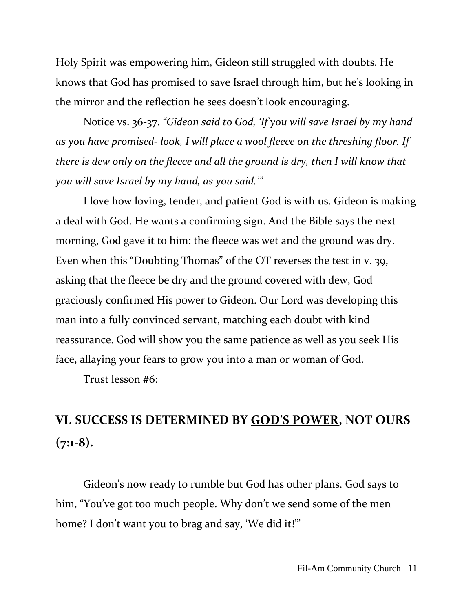Holy Spirit was empowering him, Gideon still struggled with doubts. He knows that God has promised to save Israel through him, but he's looking in the mirror and the reflection he sees doesn't look encouraging.

Notice vs. 36-37. *"Gideon said to God, 'If you will save Israel by my hand as you have promised- look, I will place a wool fleece on the threshing floor. If there is dew only on the fleece and all the ground is dry, then I will know that you will save Israel by my hand, as you said.'"* 

I love how loving, tender, and patient God is with us. Gideon is making a deal with God. He wants a confirming sign. And the Bible says the next morning, God gave it to him: the fleece was wet and the ground was dry. Even when this "Doubting Thomas" of the OT reverses the test in v. 39, asking that the fleece be dry and the ground covered with dew, God graciously confirmed His power to Gideon. Our Lord was developing this man into a fully convinced servant, matching each doubt with kind reassurance. God will show you the same patience as well as you seek His face, allaying your fears to grow you into a man or woman of God.

Trust lesson #6:

## **VI. SUCCESS IS DETERMINED BY GOD'S POWER, NOT OURS (7:1-8).**

Gideon's now ready to rumble but God has other plans. God says to him, "You've got too much people. Why don't we send some of the men home? I don't want you to brag and say, 'We did it!'"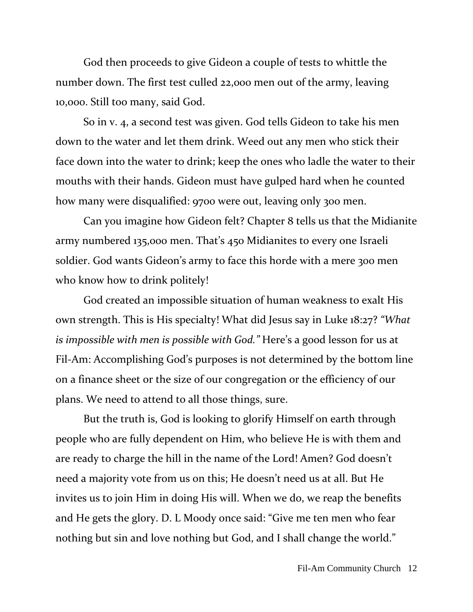God then proceeds to give Gideon a couple of tests to whittle the number down. The first test culled 22,000 men out of the army, leaving 10,000. Still too many, said God.

So in v. 4, a second test was given. God tells Gideon to take his men down to the water and let them drink. Weed out any men who stick their face down into the water to drink; keep the ones who ladle the water to their mouths with their hands. Gideon must have gulped hard when he counted how many were disqualified: 9700 were out, leaving only 300 men.

Can you imagine how Gideon felt? Chapter 8 tells us that the Midianite army numbered 135,000 men. That's 450 Midianites to every one Israeli soldier. God wants Gideon's army to face this horde with a mere 300 men who know how to drink politely!

God created an impossible situation of human weakness to exalt His own strength. This is His specialty! What did Jesus say in Luke 18:27? *"What is impossible with men is possible with God."* Here's a good lesson for us at Fil-Am: Accomplishing God's purposes is not determined by the bottom line on a finance sheet or the size of our congregation or the efficiency of our plans. We need to attend to all those things, sure.

But the truth is, God is looking to glorify Himself on earth through people who are fully dependent on Him, who believe He is with them and are ready to charge the hill in the name of the Lord! Amen? God doesn't need a majority vote from us on this; He doesn't need us at all. But He invites us to join Him in doing His will. When we do, we reap the benefits and He gets the glory. D. L Moody once said: "Give me ten men who fear nothing but sin and love nothing but God, and I shall change the world."